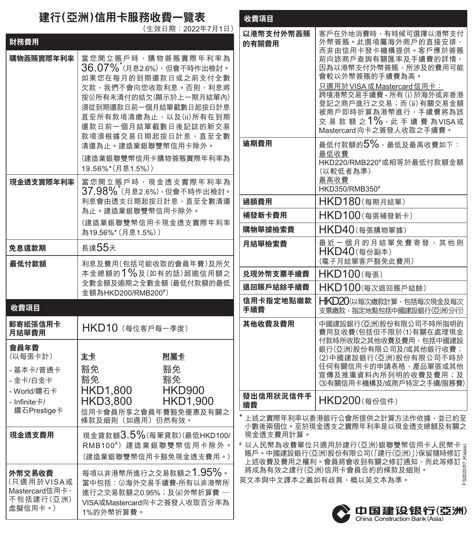## **建行(亞洲)信用卡服務收費一覽表**

## (生效日期:2022年7月1日)

| 財務費用                                                                                   |                                                                                                                                                                                                                                                       |
|----------------------------------------------------------------------------------------|-------------------------------------------------------------------------------------------------------------------------------------------------------------------------------------------------------------------------------------------------------|
| 購物簽賬實際年利率                                                                              | 當您開立賬戶時,購物簽賬實際年利率為<br>$36.07\%$ (月息2.6%),但會不時作出檢討。<br>如果您在每月的到期還款日或之前支付全數<br>欠款,我們不會向您收取利息。否則,利息將<br>按(i)所有未清付的結欠(顯示於上一期月結單內)<br>須從到期還款日前一個月結單截數日起按日計息<br>直至所有款項清繳為止,以及(ii)所有在到期<br>還款日前一個月結單截數日後記誌的新交易<br>款項須根據交易日期起按日計息, 直至全數<br>清還為止。建造業銀聯雙幣信用卡除外。 |
|                                                                                        | (建造業銀聯雙幣信用卡購物簽賬實際年利率為<br>19.56%*(月息1.5%))                                                                                                                                                                                                             |
| 現金透支音際年利率                                                                              | 當您開立賬戶時,現金透支實際年利率 <b>為</b><br>37.98% <sup>*</sup> (月息2.6%),但會不時作出檢討。<br>利息會由透支日期起按日計息,直至全數清還<br>為止。建造業銀聯雙幣信用卡除外。<br>(建造業銀聯雙幣信用卡現金透支實際年利率<br>為19.56%* (月息1.5%))                                                                                        |
| 免息還款期                                                                                  | 長達55天                                                                                                                                                                                                                                                 |
| 最低付款額                                                                                  | 利息及費用(包括可能收取的會員年費)及所欠<br>本金總額的1%及(如有的話)超逾信用額之<br>全數金額及逾期之全數金額(最低付款額的最低<br>金額為HKD200/RMB200#)                                                                                                                                                          |
| 收費項目                                                                                   |                                                                                                                                                                                                                                                       |
| 郵寄紙張信用卡<br>月結單費用                                                                       | HKD10 (每位客戶每一季度)                                                                                                                                                                                                                                      |
| 會員年費<br>(以每張卡計)<br>- 基本卡/普通卡<br>- 金卡/白金卡<br>- World/鑽石卡<br>- Infinite卡/<br>鑽石Prestige卡 | 主卡<br>附屬卡<br>豁免<br>豁免<br>豁免<br>豁免<br>HKD1,800<br>HKD3,800<br><b>HKD900</b><br><b>HKD1,900</b><br>信用卡會員所享之會員年費豁免優惠及有關之<br>條款及細則(如適用)仍然有效。                                                                                                              |
| 現金透支費用                                                                                 | 現金貸款額3.5%(每筆貸款)(最低HKD100/<br>RMB100#)建造業銀聯雙幣信用卡除外。                                                                                                                                                                                                    |
|                                                                                        | (建造業銀聯雙幣信用卡豁免現金透支費用。)                                                                                                                                                                                                                                 |

| 收費項目                                                                                                                              |                                                                                                                                                                                                                                                                                                            |  |
|-----------------------------------------------------------------------------------------------------------------------------------|------------------------------------------------------------------------------------------------------------------------------------------------------------------------------------------------------------------------------------------------------------------------------------------------------------|--|
| 以港幣支付外幣簽賬<br>的有關費用                                                                                                                | 客户在外地消費時,有時候可選擇以港幣支付<br>外幣簽賬。此選項屬海外商戶的直接安排,<br>而非由信用卡發卡機構提供。客戶應於簽賬<br>前向該商戶查詢有關匯率及手續費的詳情,<br>因為以港幣支付外幣簽賬,所涉及的費用可能<br>會較以外幣簽賬的手續費為高。<br>只適用於VISA或Mastercard信用卡:<br>跨境港幣交易手續費 - 所有(i) 於海外或非香港<br>登記之商戶進行之交易;而(ii)有關交易金額<br>被商戶即時折算為港幣進行,手續費將為該<br>交 易 款 額 之 $1\%$ ,此 手 續 費 為VISA或<br>Mastercard向卡之簽發人收取之手續費。 |  |
| 逾期費用                                                                                                                              | 最低付款額的5%,最低及最高收費如下:<br>最低收費<br>HKD220/RMB220#或相等於最低付款額金額<br>(以較低者為準)<br>最高收費<br>HKD350/RMB350#                                                                                                                                                                                                             |  |
| 過額費用                                                                                                                              | HKD180(每期月結單)                                                                                                                                                                                                                                                                                              |  |
| 補發新卡費用                                                                                                                            | HKD100(每張補發新卡)                                                                                                                                                                                                                                                                                             |  |
| 購物單據檢索費                                                                                                                           | HKD40(每張購物單據)                                                                                                                                                                                                                                                                                              |  |
| 月結單檢索費                                                                                                                            | 最近一個月的月結單免費寄發,其他則<br>HKD40(每份副本)<br>(電子月結單客戶豁免此費用)                                                                                                                                                                                                                                                         |  |
| 兑現外幣支票手續費                                                                                                                         | HKD100(每張)                                                                                                                                                                                                                                                                                                 |  |
| 退回賬戶結餘手續費                                                                                                                         | HKD100(每次退回賬戶結餘)                                                                                                                                                                                                                                                                                           |  |
| 信用卡指定地點繳款<br>手續費                                                                                                                  | HKD20(以每次繳款計算,包括每次現金及每次<br>支票繳款,指定地點包括中國建設銀行(亞洲)分行)                                                                                                                                                                                                                                                        |  |
| 其他收費及費用                                                                                                                           | 中國建設銀行(亞洲)股份有限公司不時所指明的<br>費用及收費(包括但不限於(1)有關在處理現金<br>付款時所收取之其他收費及費用,包括中國建設<br>銀行(亞洲)股份有限公司及/或其他銀行收費;<br>(2)中國建設銀行(亞洲)股份有限公司不時於<br>任何有關信用卡的申請表格、產品單張或其他<br>宣傳及推廣資料內所列明的收費及費用;及<br>(3)有關信用卡機構及/或商戶特定之手續/服務費)                                                                                                  |  |
| 發出信用狀況信件手<br>續費                                                                                                                   | HKD200(每份信件)                                                                                                                                                                                                                                                                                               |  |
| *上述之實際年利率以香港銀行公會所提供之計算方法作依據,並已約至<br>小數後兩個位。至於現金透支之實際年利率是以現金透支總額及有關之<br>現金诱支費用計算。<br># 以人民幣為收費單位只適用於建行(亞洲)銀聯雙幣信用卡人民幣卡 <sub>す</sub> |                                                                                                                                                                                                                                                                                                            |  |

# 賬戶。中國建設銀行(亞洲)股份有限公司(「建行(亞洲)」)保留隨時修訂 上述收費及費用之權利。會員將會收到有關之修訂通知,而此等修訂 將成為有效之建行(亞洲)信用卡會員合約的條款及細則。 英文本與中文譯本之義如有歧異,概以英文本為準。 FS2022/07 (Kappa)